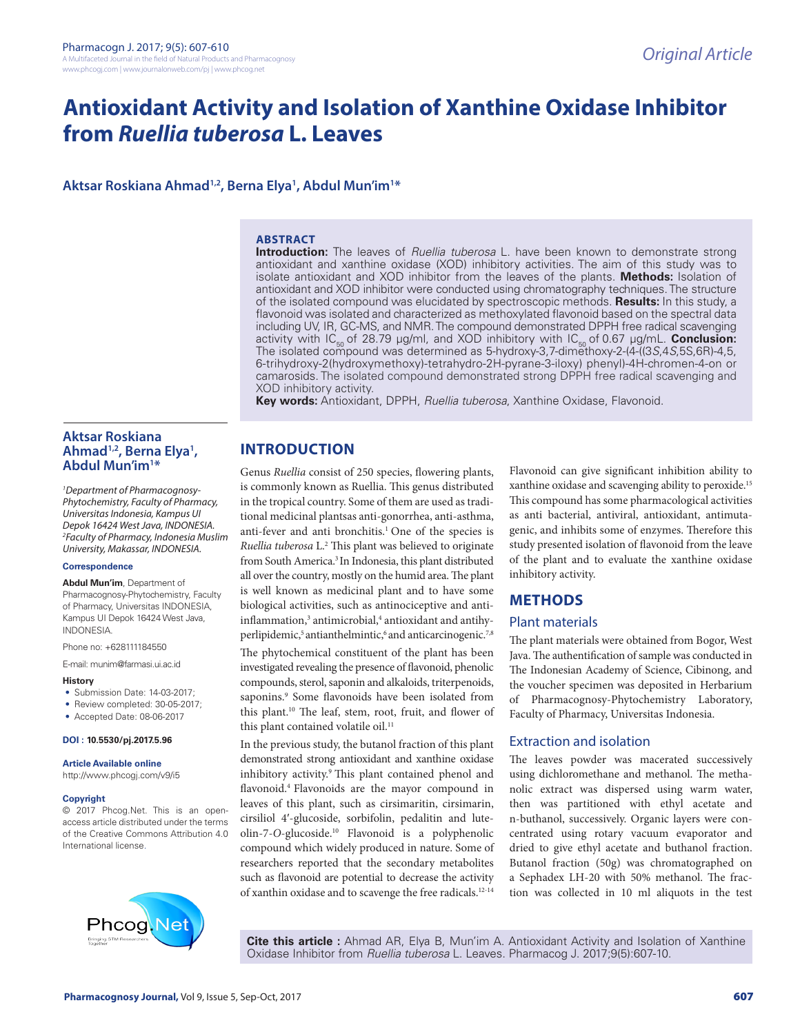# **Antioxidant Activity and Isolation of Xanthine Oxidase Inhibitor from** *Ruellia tuberosa* **L. Leaves**

**Aktsar Roskiana Ahmad1,2, Berna Elya1 , Abdul Mun'im1 \***

#### **ABSTRACT**

**Introduction:** The leaves of *Ruellia tuberosa* L. have been known to demonstrate strong antioxidant and xanthine oxidase (XOD) inhibitory activities. The aim of this study was to isolate antioxidant and XOD inhibitor from the leaves of the plants. **Methods:** Isolation of antioxidant and XOD inhibitor were conducted using chromatography techniques. The structure of the isolated compound was elucidated by spectroscopic methods. **Results:** In this study, a flavonoid was isolated and characterized as methoxylated flavonoid based on the spectral data including UV, IR, GC-MS, and NMR. The compound demonstrated DPPH free radical scavenging activity with IC<sub>50</sub> of 28.79 µg/ml, and XOD inhibitory with IC<sub>50</sub> of 0.67 µg/mL. **Conclusion:** The isolated compound was determined as 5-hydroxy-3,7-dimethoxy-2-(4-((3*S*,4*S*,5S,6R)-4,5, 6-trihydroxy-2(hydroxymethoxy)-tetrahydro-2H-pyrane-3-iloxy) phenyl)-4H-chromen-4-on or camarosids. The isolated compound demonstrated strong DPPH free radical scavenging and XOD inhibitory activity.

**Key words:** Antioxidant, DPPH, *Ruellia tuberosa*, Xanthine Oxidase, Flavonoid.

# **Aktsar Roskiana Ahmad1,2, Berna Elya1 , Abdul Mun'im1** Abdul Mun'im<sup>1\*</sup>

*1 Department of Pharmacognosy-Phytochemistry, Faculty of Pharmacy, Universitas Indonesia, Kampus UI Depok 16424 West Java, INDONESIA. 2 Faculty of Pharmacy, Indonesia Muslim University, Makassar, INDONESIA.*

#### **Correspondence**

**Abdul Mun'im**, Department of Pharmacognosy-Phytochemistry, Faculty of Pharmacy, Universitas INDONESIA, Kampus UI Depok 16424 West Java, INDONESIA.

Phone no: +628111184550

E-mail: munim@farmasi.ui.ac.id

#### **History**

- Submission Date: 14-03-2017;
- Review completed: 30-05-2017:
- Accepted Date: 08-06-2017

#### **DOI : 10.5530/pj.2017.5.96**

**Article Available online** 

http://www.phcogj.com/v9/i5

#### **Copyright**

© 2017 Phcog.Net. This is an openaccess article distributed under the terms of the Creative Commons Attribution 4.0 International license.



**INTRODUCTION**

Genus *Ruellia* consist of 250 species, flowering plants, is commonly known as Ruellia. This genus distributed in the tropical country. Some of them are used as traditional medicinal plantsas anti-gonorrhea, anti-asthma, anti-fever and anti bronchitis.<sup>1</sup> One of the species is *Ruellia tuberosa* L.2 This plant was believed to originate from South America.<sup>3</sup> In Indonesia, this plant distributed all over the country, mostly on the humid area. The plant is well known as medicinal plant and to have some biological activities, such as antinociceptive and antiinflammation,<sup>3</sup> antimicrobial,<sup>4</sup> antioxidant and antihyperlipidemic,<sup>5</sup> antianthelmintic,<sup>6</sup> and anticarcinogenic.<sup>7,8</sup> The phytochemical constituent of the plant has been investigated revealing the presence of flavonoid, phenolic compounds, sterol, saponin and alkaloids, triterpenoids, saponins.<sup>9</sup> Some flavonoids have been isolated from this plant.10 The leaf, stem, root, fruit, and flower of this plant contained volatile oil.<sup>11</sup>

In the previous study, the butanol fraction of this plant demonstrated strong antioxidant and xanthine oxidase inhibitory activity.<sup>9</sup> This plant contained phenol and flavonoid.4 Flavonoids are the mayor compound in leaves of this plant, such as cirsimaritin, cirsimarin, cirsiliol 4′-glucoside, sorbifolin, pedalitin and luteolin-7-*O*-glucoside.10 Flavonoid is a polyphenolic compound which widely produced in nature. Some of researchers reported that the secondary metabolites such as flavonoid are potential to decrease the activity of xanthin oxidase and to scavenge the free radicals.12-14

Flavonoid can give significant inhibition ability to xanthine oxidase and scavenging ability to peroxide.15 This compound has some pharmacological activities as anti bacterial, antiviral, antioxidant, antimutagenic, and inhibits some of enzymes. Therefore this study presented isolation of flavonoid from the leave of the plant and to evaluate the xanthine oxidase inhibitory activity.

# **METHODS**

#### Plant materials

The plant materials were obtained from Bogor, West Java. The authentification of sample was conducted in The Indonesian Academy of Science, Cibinong, and the voucher specimen was deposited in Herbarium of Pharmacognosy-Phytochemistry Laboratory, Faculty of Pharmacy, Universitas Indonesia.

# Extraction and isolation

The leaves powder was macerated successively using dichloromethane and methanol. The methanolic extract was dispersed using warm water, then was partitioned with ethyl acetate and n-buthanol, successively. Organic layers were concentrated using rotary vacuum evaporator and dried to give ethyl acetate and buthanol fraction. Butanol fraction (50g) was chromatographed on a Sephadex LH-20 with 50% methanol. The fraction was collected in 10 ml aliquots in the test

**Cite this article :** Ahmad AR, Elya B, Mun'im A. Antioxidant Activity and Isolation of Xanthine Oxidase Inhibitor from *Ruellia tuberosa* L. Leaves. Pharmacog J. 2017;9(5):607-10.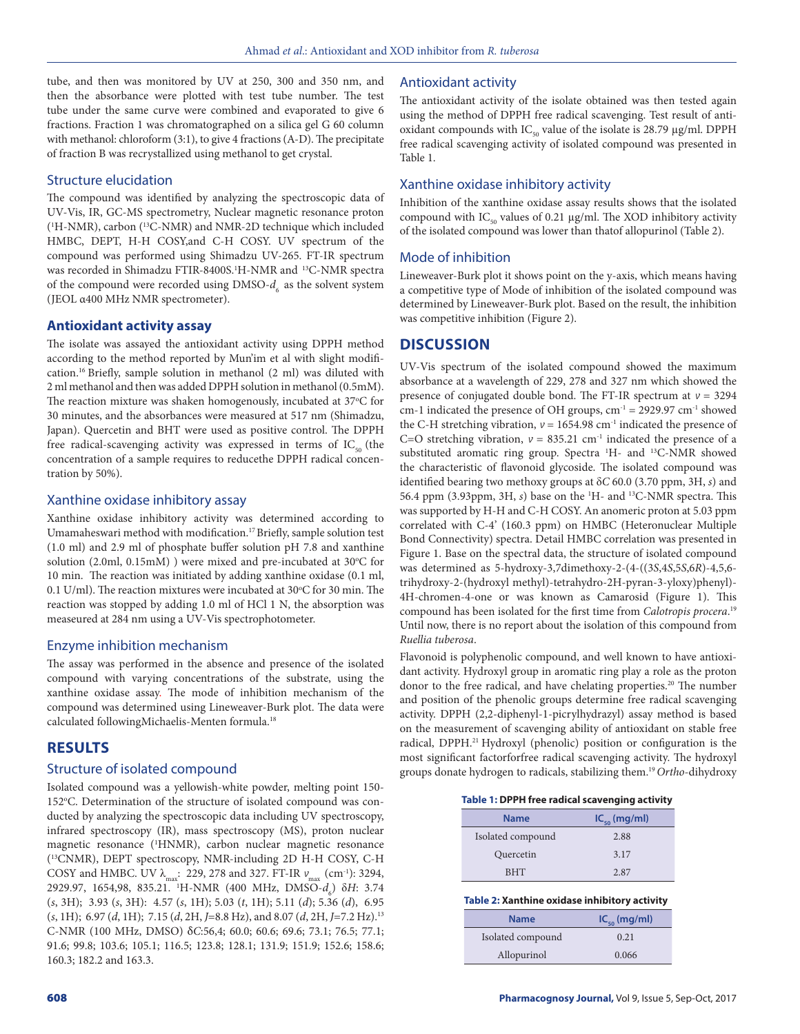tube, and then was monitored by UV at 250, 300 and 350 nm, and then the absorbance were plotted with test tube number. The test tube under the same curve were combined and evaporated to give 6 fractions. Fraction 1 was chromatographed on a silica gel G 60 column with methanol: chloroform (3:1), to give 4 fractions (A-D). The precipitate of fraction B was recrystallized using methanol to get crystal.

### Structure elucidation

The compound was identified by analyzing the spectroscopic data of UV-Vis, IR, GC-MS spectrometry, Nuclear magnetic resonance proton (1 H-NMR), carbon (13C-NMR) and NMR-2D technique which included HMBC, DEPT, H-H COSY,and C-H COSY. UV spectrum of the compound was performed using Shimadzu UV-265. FT-IR spectrum was recorded in Shimadzu FTIR-8400S.<sup>1</sup>H-NMR and <sup>13</sup>C-NMR spectra of the compound were recorded using DMSO- $d_{\epsilon}$  as the solvent system (JEOL α400 MHz NMR spectrometer).

### **Antioxidant activity assay**

The isolate was assayed the antioxidant activity using DPPH method according to the method reported by Mun'im et al with slight modification.16 Briefly, sample solution in methanol (2 ml) was diluted with 2 ml methanol and then was added DPPH solution in methanol (0.5mM). The reaction mixture was shaken homogenously, incubated at 37°C for 30 minutes, and the absorbances were measured at 517 nm (Shimadzu, Japan). Quercetin and BHT were used as positive control. The DPPH free radical-scavenging activity was expressed in terms of  $IC_{50}$  (the concentration of a sample requires to reducethe DPPH radical concentration by 50%).

#### Xanthine oxidase inhibitory assay

Xanthine oxidase inhibitory activity was determined according to Umamaheswari method with modification.17 Briefly, sample solution test (1.0 ml) and 2.9 ml of phosphate buffer solution pH 7.8 and xanthine solution (2.0ml, 0.15mM) ) were mixed and pre-incubated at 30°C for 10 min. The reaction was initiated by adding xanthine oxidase (0.1 ml, 0.1 U/ml). The reaction mixtures were incubated at  $30^{\circ}$ C for 30 min. The reaction was stopped by adding 1.0 ml of HCl 1 N, the absorption was measeured at 284 nm using a UV-Vis spectrophotometer.

#### Enzyme inhibition mechanism

The assay was performed in the absence and presence of the isolated compound with varying concentrations of the substrate, using the xanthine oxidase assay. The mode of inhibition mechanism of the compound was determined using Lineweaver-Burk plot. The data were calculated followingMichaelis-Menten formula.18

# **RESULTS**

# Structure of isolated compound

Isolated compound was a yellowish-white powder, melting point 150- 152°C. Determination of the structure of isolated compound was conducted by analyzing the spectroscopic data including UV spectroscopy, infrared spectroscopy (IR), mass spectroscopy (MS), proton nuclear magnetic resonance (1 HNMR), carbon nuclear magnetic resonance (13CNMR), DEPT spectroscopy, NMR-including 2D H-H COSY, C-H COSY and HMBC. UV  $\lambda_{\text{max}}$ : 229, 278 and 327. FT-IR  $v_{\text{max}}$  (cm<sup>-1</sup>): 3294, 2929.97, 1654,98, 835.21. <sup>1</sup>H-NMR (400 MHz, DMSO-*d<sub>6</sub>*) δ*H*: 3.74 (*s*, 3H); 3.93 (*s*, 3H): 4.57 (*s*, 1H); 5.03 (*t*, 1H); 5.11 (*d*); 5.36 (*d*), 6.95 (*s*, 1H); 6.97 (*d*, 1H); 7.15 (*d*, 2H, *J*=8.8 Hz), and 8.07 (*d*, 2H, *J*=7.2 Hz).13 C-NMR (100 MHz, DMSO) δ*C*:56,4; 60.0; 60.6; 69.6; 73.1; 76.5; 77.1; 91.6; 99.8; 103.6; 105.1; 116.5; 123.8; 128.1; 131.9; 151.9; 152.6; 158.6; 160.3; 182.2 and 163.3.

# Antioxidant activity

The antioxidant activity of the isolate obtained was then tested again using the method of DPPH free radical scavenging. Test result of antioxidant compounds with  $IC_{50}$  value of the isolate is 28.79  $\mu$ g/ml. DPPH free radical scavenging activity of isolated compound was presented in Table 1.

#### Xanthine oxidase inhibitory activity

Inhibition of the xanthine oxidase assay results shows that the isolated compound with  $IC_{50}$  values of 0.21  $\mu$ g/ml. The XOD inhibitory activity of the isolated compound was lower than thatof allopurinol (Table 2).

# Mode of inhibition

Lineweaver-Burk plot it shows point on the y-axis, which means having a competitive type of Mode of inhibition of the isolated compound was determined by Lineweaver-Burk plot. Based on the result, the inhibition was competitive inhibition (Figure 2).

# **DISCUSSION**

UV-Vis spectrum of the isolated compound showed the maximum absorbance at a wavelength of 229, 278 and 327 nm which showed the presence of conjugated double bond. The FT-IR spectrum at  $v = 3294$ cm-1 indicated the presence of OH groups,  $cm^{-1} = 2929.97$  cm<sup>-1</sup> showed the C-H stretching vibration,  $v = 1654.98$  cm<sup>-1</sup> indicated the presence of C=O stretching vibration,  $v = 835.21$  cm<sup>-1</sup> indicated the presence of a substituted aromatic ring group. Spectra <sup>1</sup>H- and <sup>13</sup>C-NMR showed the characteristic of flavonoid glycoside. The isolated compound was identified bearing two methoxy groups at δ*C* 60.0 (3.70 ppm, 3H, *s*) and 56.4 ppm (3.93ppm, 3H, *s*) base on the 1 H- and 13C-NMR spectra. This was supported by H-H and C-H COSY. An anomeric proton at 5.03 ppm correlated with C-4' (160.3 ppm) on HMBC (Heteronuclear Multiple Bond Connectivity) spectra. Detail HMBC correlation was presented in Figure 1. Base on the spectral data, the structure of isolated compound was determined as 5-hydroxy-3,7dimethoxy-2-(4-((3*S*,4*S*,5*S*,6*R*)-4,5,6 trihydroxy-2-(hydroxyl methyl)-tetrahydro-2H-pyran-3-yloxy)phenyl)- 4H-chromen-4-one or was known as Camarosid (Figure 1). This compound has been isolated for the first time from *Calotropis procera*. 19 Until now, there is no report about the isolation of this compound from *Ruellia tuberosa*.

Flavonoid is polyphenolic compound, and well known to have antioxidant activity. Hydroxyl group in aromatic ring play a role as the proton donor to the free radical, and have chelating properties.<sup>20</sup> The number and position of the phenolic groups determine free radical scavenging activity. DPPH (2,2-diphenyl-1-picrylhydrazyl) assay method is based on the measurement of scavenging ability of antioxidant on stable free radical, DPPH.<sup>21</sup> Hydroxyl (phenolic) position or configuration is the most significant factorforfree radical scavenging activity. The hydroxyl groups donate hydrogen to radicals, stabilizing them.19 *Ortho*-dihydroxy

**Table 1: DPPH free radical scavenging activity**

| <b>Name</b>       | $IC_{50}$ (mg/ml) |
|-------------------|-------------------|
| Isolated compound | 2.88              |
| Quercetin         | 3.17              |
| <b>BHT</b>        | 2.87              |

#### **Table 2: Xanthine oxidase inhibitory activity**

| <b>Name</b>       | $IC_{\epsilon_0}$ (mg/ml) |
|-------------------|---------------------------|
| Isolated compound | 0.21                      |
| Allopurinol       | 0.066                     |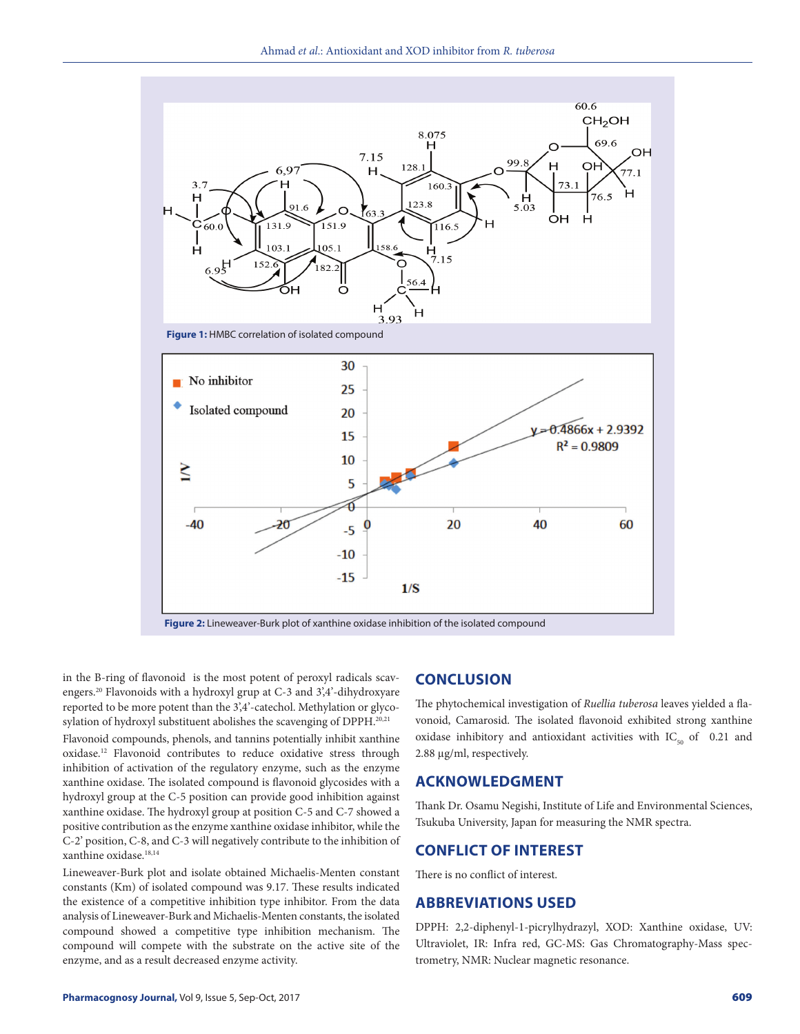

**Figure 2:** Lineweaver-Burk plot of xanthine oxidase inhibition of the isolated compound

in the B-ring of flavonoid is the most potent of peroxyl radicals scavengers.20 Flavonoids with a hydroxyl grup at C-3 and 3',4'-dihydroxyare reported to be more potent than the 3',4'-catechol. Methylation or glycosylation of hydroxyl substituent abolishes the scavenging of DPPH.<sup>20,21</sup>

Flavonoid compounds, phenols, and tannins potentially inhibit xanthine oxidase.12 Flavonoid contributes to reduce oxidative stress through inhibition of activation of the regulatory enzyme, such as the enzyme xanthine oxidase. The isolated compound is flavonoid glycosides with a hydroxyl group at the C-5 position can provide good inhibition against xanthine oxidase. The hydroxyl group at position C-5 and C-7 showed a positive contribution as the enzyme xanthine oxidase inhibitor, while the C-2' position, C-8, and C-3 will negatively contribute to the inhibition of xanthine oxidase.18,14

Lineweaver-Burk plot and isolate obtained Michaelis-Menten constant constants (Km) of isolated compound was 9.17. These results indicated the existence of a competitive inhibition type inhibitor. From the data analysis of Lineweaver-Burk and Michaelis-Menten constants, the isolated compound showed a competitive type inhibition mechanism. The compound will compete with the substrate on the active site of the enzyme, and as a result decreased enzyme activity.

#### **CONCLUSION**

The phytochemical investigation of *Ruellia tuberosa* leaves yielded a flavonoid, Camarosid. The isolated flavonoid exhibited strong xanthine oxidase inhibitory and antioxidant activities with  $IC_{50}$  of 0.21 and 2.88 µg/ml, respectively.

### **ACKNOWLEDGMENT**

Thank Dr. Osamu Negishi, Institute of Life and Environmental Sciences, Tsukuba University, Japan for measuring the NMR spectra.

# **CONFLICT OF INTEREST**

There is no conflict of interest.

#### **ABBREVIATIONS USED**

DPPH: 2,2-diphenyl-1-picrylhydrazyl, XOD: Xanthine oxidase, UV: Ultraviolet, IR: Infra red, GC-MS: Gas Chromatography-Mass spectrometry, NMR: Nuclear magnetic resonance.